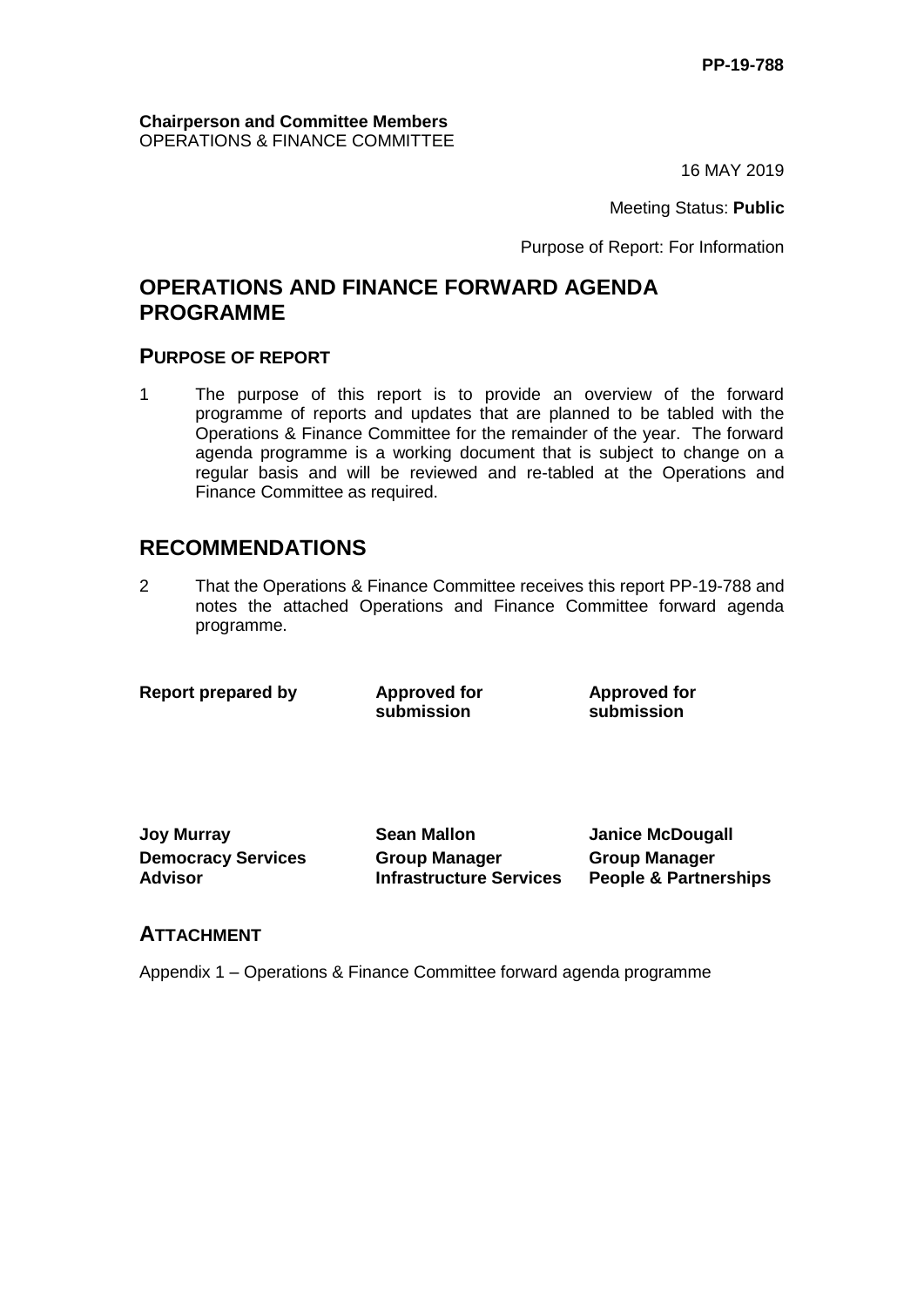#### **Chairperson and Committee Members** OPERATIONS & FINANCE COMMITTEE

16 MAY 2019

Meeting Status: **Public**

Purpose of Report: For Information

## **OPERATIONS AND FINANCE FORWARD AGENDA PROGRAMME**

## **PURPOSE OF REPORT**

1 The purpose of this report is to provide an overview of the forward programme of reports and updates that are planned to be tabled with the Operations & Finance Committee for the remainder of the year. The forward agenda programme is a working document that is subject to change on a regular basis and will be reviewed and re-tabled at the Operations and Finance Committee as required.

## **RECOMMENDATIONS**

2 That the Operations & Finance Committee receives this report PP-19-788 and notes the attached Operations and Finance Committee forward agenda programme.

**Report prepared by Approved for** 

**submission**

**Approved for submission**

**Joy Murray Sean Mallon Janice McDougall Democracy Services Advisor**

**Group Manager Infrastructure Services** **Group Manager People & Partnerships**

### **ATTACHMENT**

Appendix 1 – Operations & Finance Committee forward agenda programme